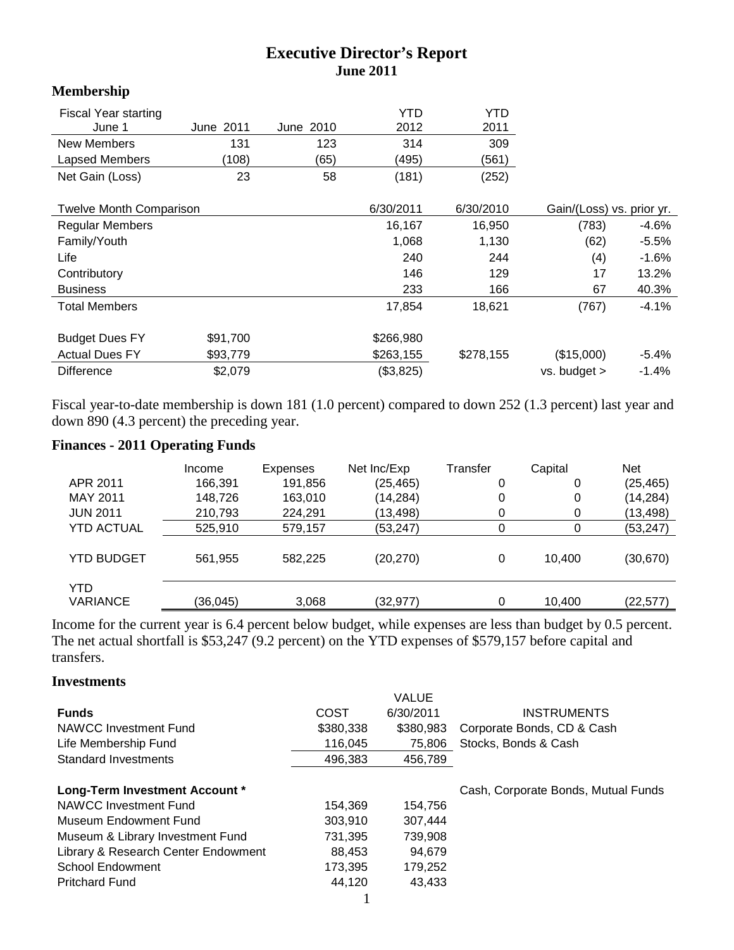## **Executive Director's Report June 2011**

#### **Membership**

| <b>Fiscal Year starting</b>    |           |           | YTD       | YTD       |                           |         |
|--------------------------------|-----------|-----------|-----------|-----------|---------------------------|---------|
| June 1                         | June 2011 | June 2010 | 2012      | 2011      |                           |         |
| New Members                    | 131       | 123       | 314       | 309       |                           |         |
| <b>Lapsed Members</b>          | (108)     | (65)      | (495)     | (561)     |                           |         |
| Net Gain (Loss)                | 23        | 58        | (181)     | (252)     |                           |         |
| <b>Twelve Month Comparison</b> |           |           | 6/30/2011 | 6/30/2010 | Gain/(Loss) vs. prior yr. |         |
| <b>Regular Members</b>         |           |           | 16,167    | 16,950    | (783)                     | $-4.6%$ |
| Family/Youth                   |           |           | 1,068     | 1,130     | (62)                      | $-5.5%$ |
| Life                           |           |           | 240       | 244       | (4)                       | $-1.6%$ |
| Contributory                   |           |           | 146       | 129       | 17                        | 13.2%   |
| <b>Business</b>                |           |           | 233       | 166       | 67                        | 40.3%   |
| <b>Total Members</b>           |           |           | 17,854    | 18,621    | (767)                     | $-4.1%$ |
| <b>Budget Dues FY</b>          | \$91,700  |           | \$266,980 |           |                           |         |
| <b>Actual Dues FY</b>          | \$93,779  |           | \$263,155 | \$278,155 | (\$15,000)                | $-5.4%$ |
| <b>Difference</b>              | \$2,079   |           | (\$3,825) |           | $vs.$ budget $>$          | $-1.4%$ |

Fiscal year-to-date membership is down 181 (1.0 percent) compared to down 252 (1.3 percent) last year and down 890 (4.3 percent) the preceding year.

## **Finances - 2011 Operating Funds**

|                               | Income    | Expenses | Net Inc/Exp | Transfer | Capital | <b>Net</b> |
|-------------------------------|-----------|----------|-------------|----------|---------|------------|
| APR 2011                      | 166,391   | 191,856  | (25, 465)   | 0        | 0       | (25, 465)  |
| MAY 2011                      | 148,726   | 163,010  | (14,284)    | 0        | 0       | (14, 284)  |
| <b>JUN 2011</b>               | 210,793   | 224,291  | (13, 498)   |          | 0       | (13, 498)  |
| <b>YTD ACTUAL</b>             | 525,910   | 579.157  | (53,247)    |          |         | (53, 247)  |
| <b>YTD BUDGET</b>             | 561,955   | 582.225  | (20, 270)   | 0        | 10.400  | (30, 670)  |
| <b>YTD</b><br><b>VARIANCE</b> | (36, 045) | 3,068    | (32, 977)   | 0        | 10.400  | (22, 577)  |

Income for the current year is 6.4 percent below budget, while expenses are less than budget by 0.5 percent. The net actual shortfall is \$53,247 (9.2 percent) on the YTD expenses of \$579,157 before capital and transfers.

#### **Investments**

|                                     |           | VALUE     |                                     |
|-------------------------------------|-----------|-----------|-------------------------------------|
| <b>Funds</b>                        | COST      | 6/30/2011 | <b>INSTRUMENTS</b>                  |
| NAWCC Investment Fund               | \$380,338 | \$380.983 | Corporate Bonds, CD & Cash          |
| Life Membership Fund                | 116.045   | 75,806    | Stocks, Bonds & Cash                |
| Standard Investments                | 496,383   | 456,789   |                                     |
|                                     |           |           |                                     |
| Long-Term Investment Account *      |           |           | Cash, Corporate Bonds, Mutual Funds |
| NAWCC Investment Fund               | 154.369   | 154,756   |                                     |
| Museum Endowment Fund               | 303.910   | 307,444   |                                     |
| Museum & Library Investment Fund    | 731.395   | 739,908   |                                     |
| Library & Research Center Endowment | 88,453    | 94.679    |                                     |
| <b>School Endowment</b>             | 173,395   | 179,252   |                                     |
| <b>Pritchard Fund</b>               | 44.120    | 43.433    |                                     |
|                                     |           |           |                                     |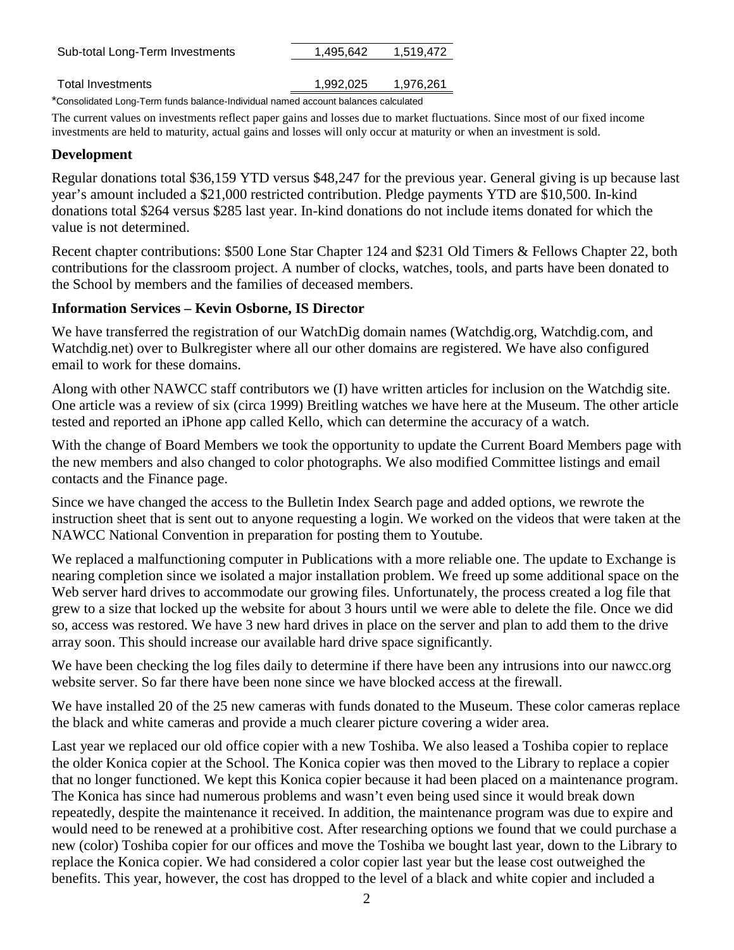| Sub-total Long-Term Investments                                                    | 1.495.642 | 1.519.472 |  |  |  |
|------------------------------------------------------------------------------------|-----------|-----------|--|--|--|
|                                                                                    |           |           |  |  |  |
| Total Investments                                                                  | 1,992,025 | 1,976,261 |  |  |  |
| *Consolidated Long-Term funds balance-Individual named account balances calculated |           |           |  |  |  |

The current values on investments reflect paper gains and losses due to market fluctuations. Since most of our fixed income investments are held to maturity, actual gains and losses will only occur at maturity or when an investment is sold.

#### **Development**

Regular donations total \$36,159 YTD versus \$48,247 for the previous year. General giving is up because last year's amount included a \$21,000 restricted contribution. Pledge payments YTD are \$10,500. In-kind donations total \$264 versus \$285 last year. In-kind donations do not include items donated for which the value is not determined.

Recent chapter contributions: \$500 Lone Star Chapter 124 and \$231 Old Timers & Fellows Chapter 22, both contributions for the classroom project. A number of clocks, watches, tools, and parts have been donated to the School by members and the families of deceased members.

## **Information Services – Kevin Osborne, IS Director**

We have transferred the registration of our WatchDig domain names (Watchdig.org, Watchdig.com, and Watchdig.net) over to Bulkregister where all our other domains are registered. We have also configured email to work for these domains.

Along with other NAWCC staff contributors we (I) have written articles for inclusion on the Watchdig site. One article was a review of six (circa 1999) Breitling watches we have here at the Museum. The other article tested and reported an iPhone app called Kello, which can determine the accuracy of a watch.

With the change of Board Members we took the opportunity to update the Current Board Members page with the new members and also changed to color photographs. We also modified Committee listings and email contacts and the Finance page.

Since we have changed the access to the Bulletin Index Search page and added options, we rewrote the instruction sheet that is sent out to anyone requesting a login. We worked on the videos that were taken at the NAWCC National Convention in preparation for posting them to Youtube.

We replaced a malfunctioning computer in Publications with a more reliable one. The update to Exchange is nearing completion since we isolated a major installation problem. We freed up some additional space on the Web server hard drives to accommodate our growing files. Unfortunately, the process created a log file that grew to a size that locked up the website for about 3 hours until we were able to delete the file. Once we did so, access was restored. We have 3 new hard drives in place on the server and plan to add them to the drive array soon. This should increase our available hard drive space significantly.

We have been checking the log files daily to determine if there have been any intrusions into our nawcc.org website server. So far there have been none since we have blocked access at the firewall.

We have installed 20 of the 25 new cameras with funds donated to the Museum. These color cameras replace the black and white cameras and provide a much clearer picture covering a wider area.

Last year we replaced our old office copier with a new Toshiba. We also leased a Toshiba copier to replace the older Konica copier at the School. The Konica copier was then moved to the Library to replace a copier that no longer functioned. We kept this Konica copier because it had been placed on a maintenance program. The Konica has since had numerous problems and wasn't even being used since it would break down repeatedly, despite the maintenance it received. In addition, the maintenance program was due to expire and would need to be renewed at a prohibitive cost. After researching options we found that we could purchase a new (color) Toshiba copier for our offices and move the Toshiba we bought last year, down to the Library to replace the Konica copier. We had considered a color copier last year but the lease cost outweighed the benefits. This year, however, the cost has dropped to the level of a black and white copier and included a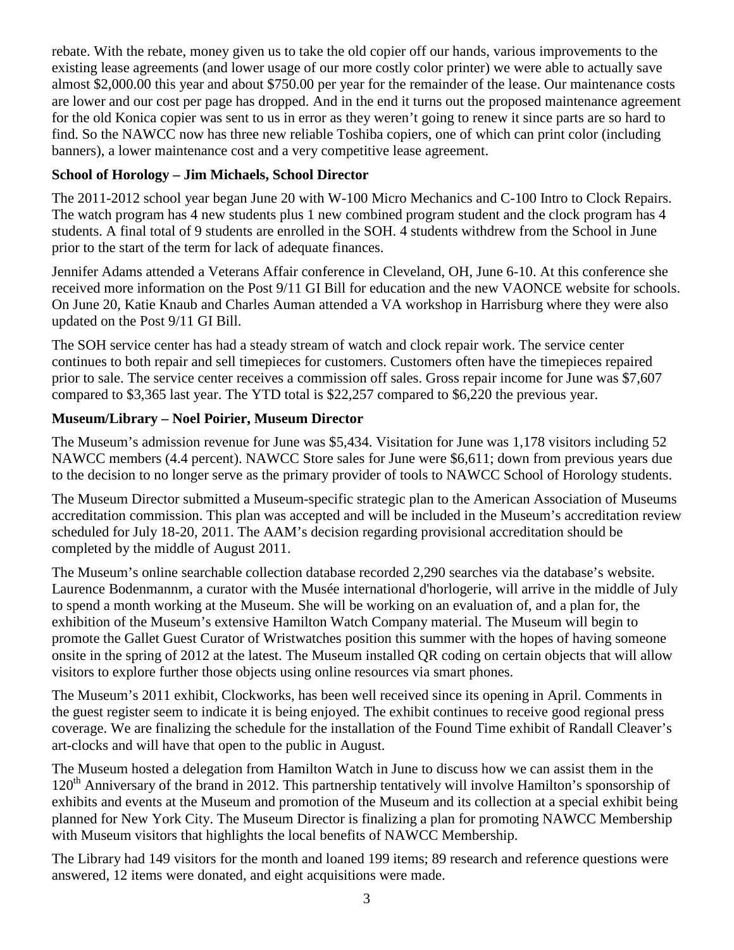rebate. With the rebate, money given us to take the old copier off our hands, various improvements to the existing lease agreements (and lower usage of our more costly color printer) we were able to actually save almost \$2,000.00 this year and about \$750.00 per year for the remainder of the lease. Our maintenance costs are lower and our cost per page has dropped. And in the end it turns out the proposed maintenance agreement for the old Konica copier was sent to us in error as they weren't going to renew it since parts are so hard to find. So the NAWCC now has three new reliable Toshiba copiers, one of which can print color (including banners), a lower maintenance cost and a very competitive lease agreement.

# **School of Horology – Jim Michaels, School Director**

The 2011-2012 school year began June 20 with W-100 Micro Mechanics and C-100 Intro to Clock Repairs. The watch program has 4 new students plus 1 new combined program student and the clock program has 4 students. A final total of 9 students are enrolled in the SOH. 4 students withdrew from the School in June prior to the start of the term for lack of adequate finances.

Jennifer Adams attended a Veterans Affair conference in Cleveland, OH, June 6-10. At this conference she received more information on the Post 9/11 GI Bill for education and the new VAONCE website for schools. On June 20, Katie Knaub and Charles Auman attended a VA workshop in Harrisburg where they were also updated on the Post 9/11 GI Bill.

The SOH service center has had a steady stream of watch and clock repair work. The service center continues to both repair and sell timepieces for customers. Customers often have the timepieces repaired prior to sale. The service center receives a commission off sales. Gross repair income for June was \$7,607 compared to \$3,365 last year. The YTD total is \$22,257 compared to \$6,220 the previous year.

## **Museum/Library – Noel Poirier, Museum Director**

The Museum's admission revenue for June was \$5,434. Visitation for June was 1,178 visitors including 52 NAWCC members (4.4 percent). NAWCC Store sales for June were \$6,611; down from previous years due to the decision to no longer serve as the primary provider of tools to NAWCC School of Horology students.

The Museum Director submitted a Museum-specific strategic plan to the American Association of Museums accreditation commission. This plan was accepted and will be included in the Museum's accreditation review scheduled for July 18-20, 2011. The AAM's decision regarding provisional accreditation should be completed by the middle of August 2011.

The Museum's online searchable collection database recorded 2,290 searches via the database's website. Laurence Bodenmannm, a curator with the Musée international d'horlogerie, will arrive in the middle of July to spend a month working at the Museum. She will be working on an evaluation of, and a plan for, the exhibition of the Museum's extensive Hamilton Watch Company material. The Museum will begin to promote the Gallet Guest Curator of Wristwatches position this summer with the hopes of having someone onsite in the spring of 2012 at the latest. The Museum installed QR coding on certain objects that will allow visitors to explore further those objects using online resources via smart phones.

The Museum's 2011 exhibit, Clockworks, has been well received since its opening in April. Comments in the guest register seem to indicate it is being enjoyed. The exhibit continues to receive good regional press coverage. We are finalizing the schedule for the installation of the Found Time exhibit of Randall Cleaver's art-clocks and will have that open to the public in August.

The Museum hosted a delegation from Hamilton Watch in June to discuss how we can assist them in the 120<sup>th</sup> Anniversary of the brand in 2012. This partnership tentatively will involve Hamilton's sponsorship of exhibits and events at the Museum and promotion of the Museum and its collection at a special exhibit being planned for New York City. The Museum Director is finalizing a plan for promoting NAWCC Membership with Museum visitors that highlights the local benefits of NAWCC Membership.

The Library had 149 visitors for the month and loaned 199 items; 89 research and reference questions were answered, 12 items were donated, and eight acquisitions were made.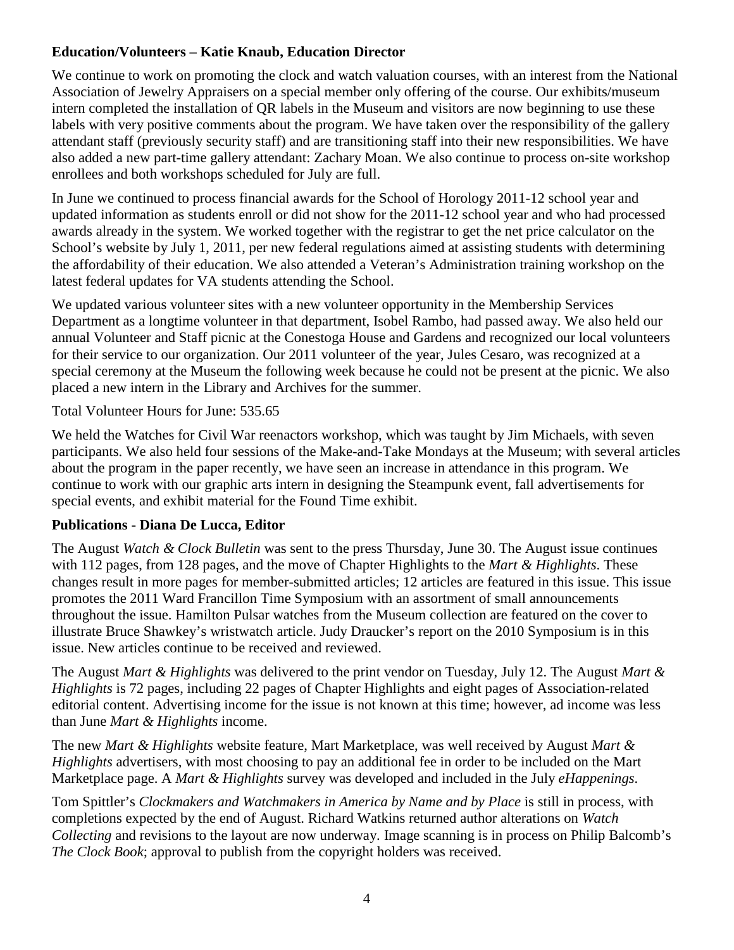### **Education/Volunteers – Katie Knaub, Education Director**

We continue to work on promoting the clock and watch valuation courses, with an interest from the National Association of Jewelry Appraisers on a special member only offering of the course. Our exhibits/museum intern completed the installation of QR labels in the Museum and visitors are now beginning to use these labels with very positive comments about the program. We have taken over the responsibility of the gallery attendant staff (previously security staff) and are transitioning staff into their new responsibilities. We have also added a new part-time gallery attendant: Zachary Moan. We also continue to process on-site workshop enrollees and both workshops scheduled for July are full.

In June we continued to process financial awards for the School of Horology 2011-12 school year and updated information as students enroll or did not show for the 2011-12 school year and who had processed awards already in the system. We worked together with the registrar to get the net price calculator on the School's website by July 1, 2011, per new federal regulations aimed at assisting students with determining the affordability of their education. We also attended a Veteran's Administration training workshop on the latest federal updates for VA students attending the School.

We updated various volunteer sites with a new volunteer opportunity in the Membership Services Department as a longtime volunteer in that department, Isobel Rambo, had passed away. We also held our annual Volunteer and Staff picnic at the Conestoga House and Gardens and recognized our local volunteers for their service to our organization. Our 2011 volunteer of the year, Jules Cesaro, was recognized at a special ceremony at the Museum the following week because he could not be present at the picnic. We also placed a new intern in the Library and Archives for the summer.

Total Volunteer Hours for June: 535.65

We held the Watches for Civil War reenactors workshop, which was taught by Jim Michaels, with seven participants. We also held four sessions of the Make-and-Take Mondays at the Museum; with several articles about the program in the paper recently, we have seen an increase in attendance in this program. We continue to work with our graphic arts intern in designing the Steampunk event, fall advertisements for special events, and exhibit material for the Found Time exhibit.

#### **Publications - Diana De Lucca, Editor**

The August *Watch & Clock Bulletin* was sent to the press Thursday, June 30. The August issue continues with 112 pages, from 128 pages, and the move of Chapter Highlights to the *Mart & Highlights*. These changes result in more pages for member-submitted articles; 12 articles are featured in this issue. This issue promotes the 2011 Ward Francillon Time Symposium with an assortment of small announcements throughout the issue. Hamilton Pulsar watches from the Museum collection are featured on the cover to illustrate Bruce Shawkey's wristwatch article. Judy Draucker's report on the 2010 Symposium is in this issue. New articles continue to be received and reviewed.

The August *Mart & Highlights* was delivered to the print vendor on Tuesday, July 12. The August *Mart & Highlights* is 72 pages, including 22 pages of Chapter Highlights and eight pages of Association-related editorial content. Advertising income for the issue is not known at this time; however, ad income was less than June *Mart & Highlights* income.

The new *Mart & Highlights* website feature, Mart Marketplace, was well received by August *Mart & Highlights* advertisers, with most choosing to pay an additional fee in order to be included on the Mart Marketplace page. A *Mart & Highlights* survey was developed and included in the July *eHappenings*.

Tom Spittler's *Clockmakers and Watchmakers in America by Name and by Place* is still in process, with completions expected by the end of August. Richard Watkins returned author alterations on *Watch Collecting* and revisions to the layout are now underway. Image scanning is in process on Philip Balcomb's *The Clock Book*; approval to publish from the copyright holders was received.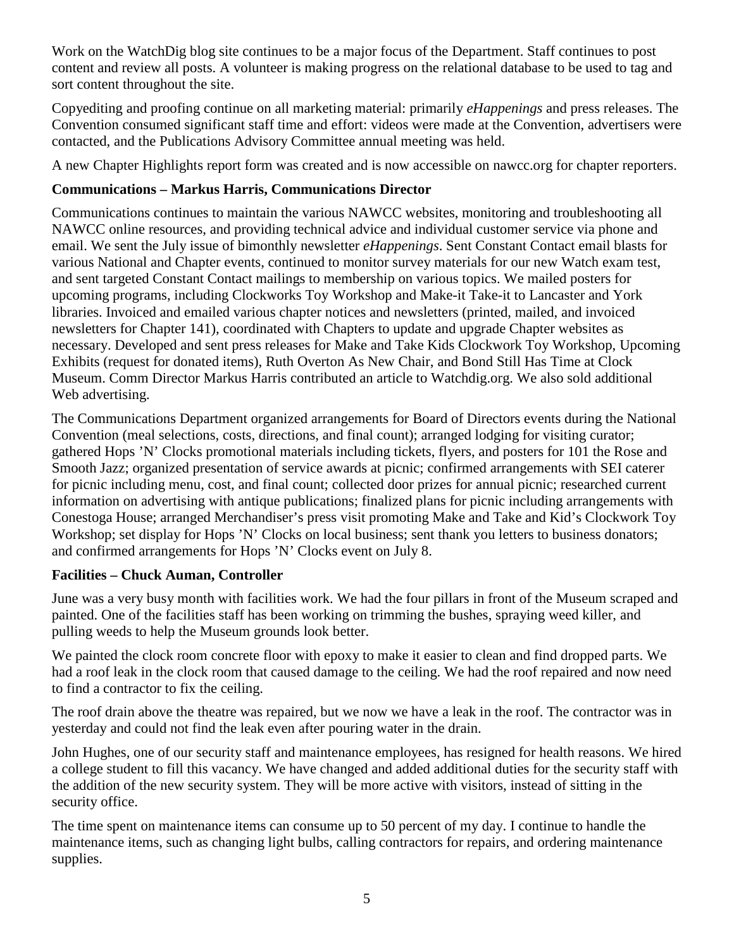Work on the WatchDig blog site continues to be a major focus of the Department. Staff continues to post content and review all posts. A volunteer is making progress on the relational database to be used to tag and sort content throughout the site.

Copyediting and proofing continue on all marketing material: primarily *eHappenings* and press releases. The Convention consumed significant staff time and effort: videos were made at the Convention, advertisers were contacted, and the Publications Advisory Committee annual meeting was held.

A new Chapter Highlights report form was created and is now accessible on nawcc.org for chapter reporters.

# **Communications – Markus Harris, Communications Director**

Communications continues to maintain the various NAWCC websites, monitoring and troubleshooting all NAWCC online resources, and providing technical advice and individual customer service via phone and email. We sent the July issue of bimonthly newsletter *eHappenings*. Sent Constant Contact email blasts for various National and Chapter events, continued to monitor survey materials for our new Watch exam test, and sent targeted Constant Contact mailings to membership on various topics. We mailed posters for upcoming programs, including Clockworks Toy Workshop and Make-it Take-it to Lancaster and York libraries. Invoiced and emailed various chapter notices and newsletters (printed, mailed, and invoiced newsletters for Chapter 141), coordinated with Chapters to update and upgrade Chapter websites as necessary. Developed and sent press releases for Make and Take Kids Clockwork Toy Workshop, Upcoming Exhibits (request for donated items), Ruth Overton As New Chair, and Bond Still Has Time at Clock Museum. Comm Director Markus Harris contributed an article to Watchdig.org. We also sold additional Web advertising.

The Communications Department organized arrangements for Board of Directors events during the National Convention (meal selections, costs, directions, and final count); arranged lodging for visiting curator; gathered Hops 'N' Clocks promotional materials including tickets, flyers, and posters for 101 the Rose and Smooth Jazz; organized presentation of service awards at picnic; confirmed arrangements with SEI caterer for picnic including menu, cost, and final count; collected door prizes for annual picnic; researched current information on advertising with antique publications; finalized plans for picnic including arrangements with Conestoga House; arranged Merchandiser's press visit promoting Make and Take and Kid's Clockwork Toy Workshop; set display for Hops 'N' Clocks on local business; sent thank you letters to business donators; and confirmed arrangements for Hops 'N' Clocks event on July 8.

# **Facilities – Chuck Auman, Controller**

June was a very busy month with facilities work. We had the four pillars in front of the Museum scraped and painted. One of the facilities staff has been working on trimming the bushes, spraying weed killer, and pulling weeds to help the Museum grounds look better.

We painted the clock room concrete floor with epoxy to make it easier to clean and find dropped parts. We had a roof leak in the clock room that caused damage to the ceiling. We had the roof repaired and now need to find a contractor to fix the ceiling.

The roof drain above the theatre was repaired, but we now we have a leak in the roof. The contractor was in yesterday and could not find the leak even after pouring water in the drain.

John Hughes, one of our security staff and maintenance employees, has resigned for health reasons. We hired a college student to fill this vacancy. We have changed and added additional duties for the security staff with the addition of the new security system. They will be more active with visitors, instead of sitting in the security office.

The time spent on maintenance items can consume up to 50 percent of my day. I continue to handle the maintenance items, such as changing light bulbs, calling contractors for repairs, and ordering maintenance supplies.